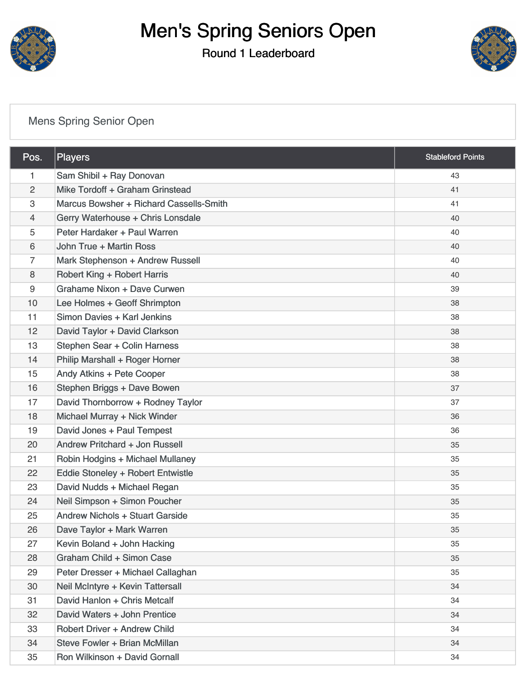

# Men's Spring Seniors Open

#### Round 1 Leaderboard



### [Mens Spring Senior Open](https://static.golfgenius.com/v2tournaments/8357803089259964240?called_from=&round_index=1)

| Pos.           | <b>Players</b>                          | <b>Stableford Points</b> |
|----------------|-----------------------------------------|--------------------------|
| 1              | Sam Shibil + Ray Donovan                | 43                       |
| $\overline{c}$ | Mike Tordoff + Graham Grinstead         | 41                       |
| 3              | Marcus Bowsher + Richard Cassells-Smith | 41                       |
| 4              | Gerry Waterhouse + Chris Lonsdale       | 40                       |
| 5              | Peter Hardaker + Paul Warren            | 40                       |
| 6              | John True + Martin Ross                 | 40                       |
| 7              | Mark Stephenson + Andrew Russell        | 40                       |
| 8              | <b>Robert King + Robert Harris</b>      | 40                       |
| 9              | Grahame Nixon + Dave Curwen             | 39                       |
| 10             | Lee Holmes + Geoff Shrimpton            | 38                       |
| 11             | Simon Davies + Karl Jenkins             | 38                       |
| 12             | David Taylor + David Clarkson           | 38                       |
| 13             | Stephen Sear + Colin Harness            | 38                       |
| 14             | Philip Marshall + Roger Horner          | 38                       |
| 15             | Andy Atkins + Pete Cooper               | 38                       |
| 16             | Stephen Briggs + Dave Bowen             | 37                       |
| 17             | David Thornborrow + Rodney Taylor       | 37                       |
| 18             | Michael Murray + Nick Winder            | 36                       |
| 19             | David Jones + Paul Tempest              | 36                       |
| 20             | Andrew Pritchard + Jon Russell          | 35                       |
| 21             | Robin Hodgins + Michael Mullaney        | 35                       |
| 22             | Eddie Stoneley + Robert Entwistle       | 35                       |
| 23             | David Nudds + Michael Regan             | 35                       |
| 24             | Neil Simpson + Simon Poucher            | 35                       |
| 25             | <b>Andrew Nichols + Stuart Garside</b>  | 35                       |
| 26             | Dave Taylor + Mark Warren               | 35                       |
| 27             | Kevin Boland + John Hacking             | 35                       |
| 28             | Graham Child + Simon Case               | 35                       |
| 29             | Peter Dresser + Michael Callaghan       | 35                       |
| 30             | Neil McIntyre + Kevin Tattersall        | 34                       |
| 31             | David Hanlon + Chris Metcalf            | 34                       |
| 32             | David Waters + John Prentice            | 34                       |
| 33             | <b>Robert Driver + Andrew Child</b>     | 34                       |
| 34             | Steve Fowler + Brian McMillan           | 34                       |
| 35             | Ron Wilkinson + David Gornall           | 34                       |